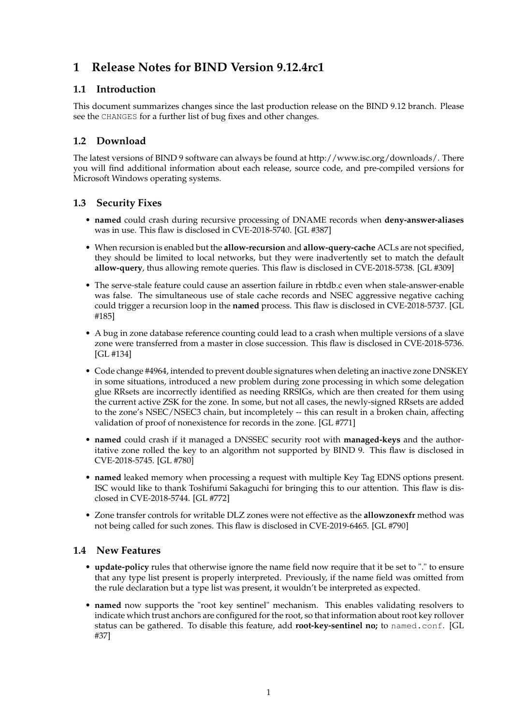# **1 Release Notes for BIND Version 9.12.4rc1**

## **1.1 Introduction**

This document summarizes changes since the last production release on the BIND 9.12 branch. Please see the CHANGES for a further list of bug fixes and other changes.

# **1.2 Download**

The latest versions of BIND 9 software can always be found at http://www.isc.org/downloads/. There you will find additional information about each release, source code, and pre-compiled versions for Microsoft Windows operating systems.

## **1.3 Security Fixes**

- **named** could crash during recursive processing of DNAME records when **deny-answer-aliases** was in use. This flaw is disclosed in CVE-2018-5740. [GL #387]
- When recursion is enabled but the **allow-recursion** and **allow-query-cache** ACLs are not specified, they should be limited to local networks, but they were inadvertently set to match the default **allow-query**, thus allowing remote queries. This flaw is disclosed in CVE-2018-5738. [GL #309]
- The serve-stale feature could cause an assertion failure in rbtdb.c even when stale-answer-enable was false. The simultaneous use of stale cache records and NSEC aggressive negative caching could trigger a recursion loop in the **named** process. This flaw is disclosed in CVE-2018-5737. [GL #185]
- A bug in zone database reference counting could lead to a crash when multiple versions of a slave zone were transferred from a master in close succession. This flaw is disclosed in CVE-2018-5736. [GL #134]
- Code change #4964, intended to prevent double signatures when deleting an inactive zone DNSKEY in some situations, introduced a new problem during zone processing in which some delegation glue RRsets are incorrectly identified as needing RRSIGs, which are then created for them using the current active ZSK for the zone. In some, but not all cases, the newly-signed RRsets are added to the zone's NSEC/NSEC3 chain, but incompletely -- this can result in a broken chain, affecting validation of proof of nonexistence for records in the zone. [GL #771]
- **named** could crash if it managed a DNSSEC security root with **managed-keys** and the authoritative zone rolled the key to an algorithm not supported by BIND 9. This flaw is disclosed in CVE-2018-5745. [GL #780]
- **named** leaked memory when processing a request with multiple Key Tag EDNS options present. ISC would like to thank Toshifumi Sakaguchi for bringing this to our attention. This flaw is disclosed in CVE-2018-5744. [GL #772]
- Zone transfer controls for writable DLZ zones were not effective as the **allowzonexfr** method was not being called for such zones. This flaw is disclosed in CVE-2019-6465. [GL #790]

### **1.4 New Features**

- **update-policy** rules that otherwise ignore the name field now require that it be set to "." to ensure that any type list present is properly interpreted. Previously, if the name field was omitted from the rule declaration but a type list was present, it wouldn't be interpreted as expected.
- **named** now supports the "root key sentinel" mechanism. This enables validating resolvers to indicate which trust anchors are configured for the root, so that information about root key rollover status can be gathered. To disable this feature, add **root-key-sentinel no;** to named.conf. [GL #37]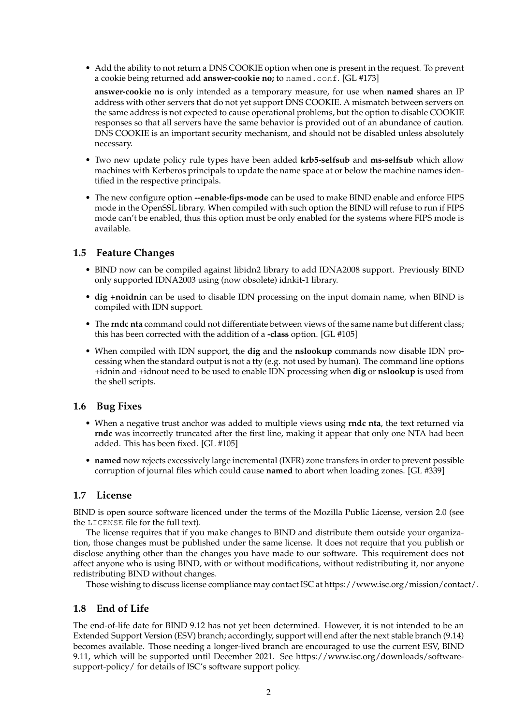• Add the ability to not return a DNS COOKIE option when one is present in the request. To prevent a cookie being returned add **answer-cookie no;** to named.conf. [GL #173]

**answer-cookie no** is only intended as a temporary measure, for use when **named** shares an IP address with other servers that do not yet support DNS COOKIE. A mismatch between servers on the same address is not expected to cause operational problems, but the option to disable COOKIE responses so that all servers have the same behavior is provided out of an abundance of caution. DNS COOKIE is an important security mechanism, and should not be disabled unless absolutely necessary.

- Two new update policy rule types have been added **krb5-selfsub** and **ms-selfsub** which allow machines with Kerberos principals to update the name space at or below the machine names identified in the respective principals.
- The new configure option **--enable-fips-mode** can be used to make BIND enable and enforce FIPS mode in the OpenSSL library. When compiled with such option the BIND will refuse to run if FIPS mode can't be enabled, thus this option must be only enabled for the systems where FIPS mode is available.

## **1.5 Feature Changes**

- BIND now can be compiled against libidn2 library to add IDNA2008 support. Previously BIND only supported IDNA2003 using (now obsolete) idnkit-1 library.
- **dig +noidnin** can be used to disable IDN processing on the input domain name, when BIND is compiled with IDN support.
- The **rndc nta** command could not differentiate between views of the same name but different class; this has been corrected with the addition of a **-class** option. [GL #105]
- When compiled with IDN support, the **dig** and the **nslookup** commands now disable IDN processing when the standard output is not a tty (e.g. not used by human). The command line options +idnin and +idnout need to be used to enable IDN processing when **dig** or **nslookup** is used from the shell scripts.

### **1.6 Bug Fixes**

- When a negative trust anchor was added to multiple views using **rndc nta**, the text returned via **rndc** was incorrectly truncated after the first line, making it appear that only one NTA had been added. This has been fixed. [GL #105]
- **named** now rejects excessively large incremental (IXFR) zone transfers in order to prevent possible corruption of journal files which could cause **named** to abort when loading zones. [GL #339]

### **1.7 License**

BIND is open source software licenced under the terms of the Mozilla Public License, version 2.0 (see the LICENSE file for the full text).

The license requires that if you make changes to BIND and distribute them outside your organization, those changes must be published under the same license. It does not require that you publish or disclose anything other than the changes you have made to our software. This requirement does not affect anyone who is using BIND, with or without modifications, without redistributing it, nor anyone redistributing BIND without changes.

Those wishing to discuss license compliance may contact ISC at https://www.isc.org/mission/contact/.

## **1.8 End of Life**

The end-of-life date for BIND 9.12 has not yet been determined. However, it is not intended to be an Extended Support Version (ESV) branch; accordingly, support will end after the next stable branch (9.14) becomes available. Those needing a longer-lived branch are encouraged to use the current ESV, BIND 9.11, which will be supported until December 2021. See https://www.isc.org/downloads/softwaresupport-policy/ for details of ISC's software support policy.